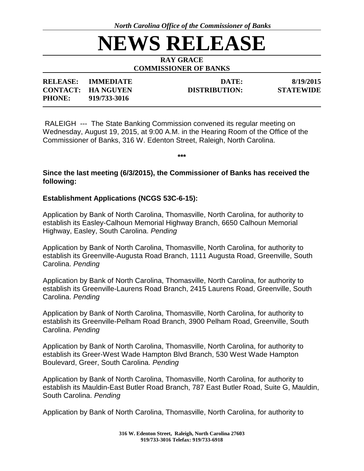*North Carolina Office of the Commissioner of Banks*

# **NEWS RELEASE**

#### **RAY GRACE COMMISSIONER OF BANKS**

| <b>RELEASE:</b> | <b>IMMEDIATE</b>         | DATE:                | 8/19/2015        |
|-----------------|--------------------------|----------------------|------------------|
|                 | <b>CONTACT: HANGUYEN</b> | <b>DISTRIBUTION:</b> | <b>STATEWIDE</b> |
| <b>PHONE:</b>   | 919/733-3016             |                      |                  |

RALEIGH --- The State Banking Commission convened its regular meeting on Wednesday, August 19, 2015, at 9:00 A.M. in the Hearing Room of the Office of the Commissioner of Banks, 316 W. Edenton Street, Raleigh, North Carolina.

**\*\*\***

# **Since the last meeting (6/3/2015), the Commissioner of Banks has received the following:**

### **Establishment Applications (NCGS 53C-6-15):**

Application by Bank of North Carolina, Thomasville, North Carolina, for authority to establish its Easley-Calhoun Memorial Highway Branch, 6650 Calhoun Memorial Highway, Easley, South Carolina. *Pending*

Application by Bank of North Carolina, Thomasville, North Carolina, for authority to establish its Greenville-Augusta Road Branch, 1111 Augusta Road, Greenville, South Carolina. *Pending*

Application by Bank of North Carolina, Thomasville, North Carolina, for authority to establish its Greenville-Laurens Road Branch, 2415 Laurens Road, Greenville, South Carolina. *Pending* 

Application by Bank of North Carolina, Thomasville, North Carolina, for authority to establish its Greenville-Pelham Road Branch, 3900 Pelham Road, Greenville, South Carolina. *Pending*

Application by Bank of North Carolina, Thomasville, North Carolina, for authority to establish its Greer-West Wade Hampton Blvd Branch, 530 West Wade Hampton Boulevard, Greer, South Carolina. *Pending*

Application by Bank of North Carolina, Thomasville, North Carolina, for authority to establish its Mauldin-East Butler Road Branch, 787 East Butler Road, Suite G, Mauldin, South Carolina. *Pending*

Application by Bank of North Carolina, Thomasville, North Carolina, for authority to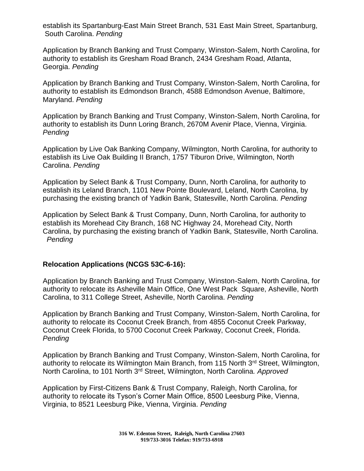establish its Spartanburg-East Main Street Branch, 531 East Main Street, Spartanburg, South Carolina. *Pending*

Application by Branch Banking and Trust Company, Winston-Salem, North Carolina, for authority to establish its Gresham Road Branch, 2434 Gresham Road, Atlanta, Georgia. *Pending* 

Application by Branch Banking and Trust Company, Winston-Salem, North Carolina, for authority to establish its Edmondson Branch, 4588 Edmondson Avenue, Baltimore, Maryland. *Pending*

Application by Branch Banking and Trust Company, Winston-Salem, North Carolina, for authority to establish its Dunn Loring Branch, 2670M Avenir Place, Vienna, Virginia. *Pending*

Application by Live Oak Banking Company, Wilmington, North Carolina, for authority to establish its Live Oak Building II Branch, 1757 Tiburon Drive, Wilmington, North Carolina. *Pending* 

Application by Select Bank & Trust Company, Dunn, North Carolina, for authority to establish its Leland Branch, 1101 New Pointe Boulevard, Leland, North Carolina, by purchasing the existing branch of Yadkin Bank, Statesville, North Carolina. *Pending*

Application by Select Bank & Trust Company, Dunn, North Carolina, for authority to establish its Morehead City Branch, 168 NC Highway 24, Morehead City, North Carolina, by purchasing the existing branch of Yadkin Bank, Statesville, North Carolina. *Pending*

### **Relocation Applications (NCGS 53C-6-16):**

Application by Branch Banking and Trust Company, Winston-Salem, North Carolina, for authority to relocate its Asheville Main Office, One West Pack Square, Asheville, North Carolina, to 311 College Street, Asheville, North Carolina. *Pending* 

Application by Branch Banking and Trust Company, Winston-Salem, North Carolina, for authority to relocate its Coconut Creek Branch, from 4855 Coconut Creek Parkway, Coconut Creek Florida, to 5700 Coconut Creek Parkway, Coconut Creek, Florida. *Pending* 

Application by Branch Banking and Trust Company, Winston-Salem, North Carolina, for authority to relocate its Wilmington Main Branch, from 115 North 3<sup>rd</sup> Street, Wilmington, North Carolina, to 101 North 3rd Street, Wilmington, North Carolina*. Approved*

Application by First-Citizens Bank & Trust Company, Raleigh, North Carolina, for authority to relocate its Tyson's Corner Main Office, 8500 Leesburg Pike, Vienna, Virginia, to 8521 Leesburg Pike, Vienna, Virginia. *Pending*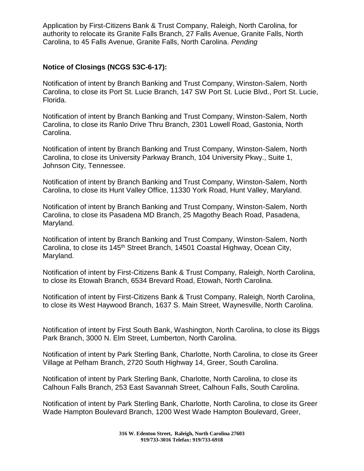Application by First-Citizens Bank & Trust Company, Raleigh, North Carolina, for authority to relocate its Granite Falls Branch, 27 Falls Avenue, Granite Falls, North Carolina, to 45 Falls Avenue, Granite Falls, North Carolina. *Pending* 

# **Notice of Closings (NCGS 53C-6-17):**

Notification of intent by Branch Banking and Trust Company, Winston-Salem, North Carolina, to close its Port St. Lucie Branch, 147 SW Port St. Lucie Blvd., Port St. Lucie, Florida.

Notification of intent by Branch Banking and Trust Company, Winston-Salem, North Carolina, to close its Ranlo Drive Thru Branch, 2301 Lowell Road, Gastonia, North Carolina.

Notification of intent by Branch Banking and Trust Company, Winston-Salem, North Carolina, to close its University Parkway Branch, 104 University Pkwy., Suite 1, Johnson City, Tennessee.

Notification of intent by Branch Banking and Trust Company, Winston-Salem, North Carolina, to close its Hunt Valley Office, 11330 York Road, Hunt Valley, Maryland.

Notification of intent by Branch Banking and Trust Company, Winston-Salem, North Carolina, to close its Pasadena MD Branch, 25 Magothy Beach Road, Pasadena, Maryland.

Notification of intent by Branch Banking and Trust Company, Winston-Salem, North Carolina, to close its 145<sup>th</sup> Street Branch, 14501 Coastal Highway, Ocean City, Maryland.

Notification of intent by First-Citizens Bank & Trust Company, Raleigh, North Carolina, to close its Etowah Branch, 6534 Brevard Road, Etowah, North Carolina.

Notification of intent by First-Citizens Bank & Trust Company, Raleigh, North Carolina, to close its West Haywood Branch, 1637 S. Main Street, Waynesville, North Carolina.

Notification of intent by First South Bank, Washington, North Carolina, to close its Biggs Park Branch, 3000 N. Elm Street, Lumberton, North Carolina.

Notification of intent by Park Sterling Bank, Charlotte, North Carolina, to close its Greer Village at Pelham Branch, 2720 South Highway 14, Greer, South Carolina.

Notification of intent by Park Sterling Bank, Charlotte, North Carolina, to close its Calhoun Falls Branch, 253 East Savannah Street, Calhoun Falls, South Carolina.

Notification of intent by Park Sterling Bank, Charlotte, North Carolina, to close its Greer Wade Hampton Boulevard Branch, 1200 West Wade Hampton Boulevard, Greer,